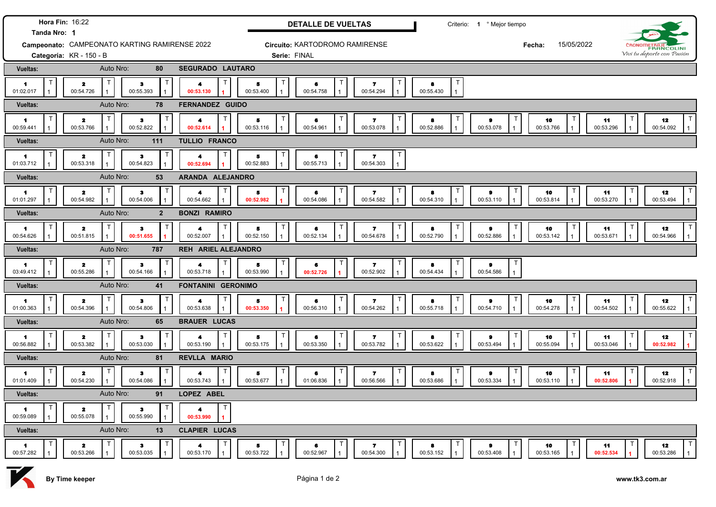| Hora Fin: 16:22<br>Tanda Nro: 1                          |                                      |                                |                                | <b>DETALLE DE VUELTAS</b>      |                |                                     | Criterio: 1 º Mejor tiempo |                                        |                      |                                 |                                        |
|----------------------------------------------------------|--------------------------------------|--------------------------------|--------------------------------|--------------------------------|----------------|-------------------------------------|----------------------------|----------------------------------------|----------------------|---------------------------------|----------------------------------------|
| Campeonato: CAMPEONATO KARTING RAMIRENSE 2022            |                                      |                                |                                | Circuito: KARTODROMO RAMIRENSE |                |                                     |                            |                                        | 15/05/2022<br>Fecha: |                                 | <b>FRANCOLINI</b>                      |
| Categoría: KR - 150 - B                                  |                                      |                                |                                | Serie: FINAL                   |                |                                     |                            |                                        |                      |                                 | Vivi tu deporte con Pasión             |
| <b>Vueltas:</b>                                          | Auto Nro:                            | 80                             | <b>SEGURADO LAUTARO</b>        |                                |                |                                     |                            |                                        |                      |                                 |                                        |
| $\blacksquare$<br>01:02.017                              | $\mathbf{z}$<br>00:54.726            | з<br>00:55.393                 | 4<br>00:53.130                 | 5<br>00:53.400                 | 6<br>00:54.758 | 7.<br>00:54.294                     | 8<br>00:55.430             |                                        |                      |                                 |                                        |
| Vueltas:                                                 | Auto Nro:                            | 78                             | <b>FERNANDEZ GUIDO</b>         |                                |                |                                     |                            |                                        |                      |                                 |                                        |
| $\mathbf{1}$<br>00:59.441                                | $\mathbf{z}$<br>00:53.766            | 3<br>00:52.822                 | 00:52.614                      | Т<br>5<br>00:53.116            | 6<br>00:54.961 | T<br>7<br>00:53.078                 | 8<br>00:52.886             | Т<br>9<br>00:53.078                    | 10<br>00:53.766      | 11<br>00:53.296                 | 12<br>00:54.092                        |
| Auto Nro:<br>111<br>Vueltas:                             |                                      |                                | <b>TULLIO FRANCO</b>           |                                |                |                                     |                            |                                        |                      |                                 |                                        |
| $\blacktriangleleft$<br>01:03.712                        | $\mathbf{z}$<br>00:53.318            | $\mathbf{3}$<br>00:54.823      | 00:52.694                      | Т<br>5<br>00:52.883            | 6<br>00:55.713 | 7<br>00:54.303                      |                            |                                        |                      |                                 |                                        |
| Vueltas:                                                 | Auto Nro:                            | 53                             | ARANDA ALEJANDRO               |                                |                |                                     |                            |                                        |                      |                                 |                                        |
| $\mathbf{1}$<br>01:01.297                                | $\mathbf{z}$<br>00:54.982            | $\bullet$<br>00:54.006         | 00:54.662                      | 5<br>00:52.982                 | 6<br>00:54.086 | $\mathbf{z}$<br>00:54.582           | 8<br>00:54.310             | 9<br>00:53.110                         | 10<br>00:53.814      | 11<br>00:53.270                 | 12<br>00:53.494                        |
| Vueltas:                                                 | Auto Nro:                            | $\overline{2}$                 | <b>BONZI RAMIRO</b>            |                                |                |                                     |                            |                                        |                      |                                 |                                        |
| $\blacksquare$<br>00:54.626                              | $\overline{\mathbf{z}}$<br>00:51.815 | $\mathbf{3}$<br>00:51.655      | 00:52.007                      | Т<br>5<br>00:52.150            | 6<br>00:52.134 | Т<br>$\mathbf{z}$<br>00:54.678      | 8<br>00:52.790             | $\bullet$<br>00:52.886                 | 10<br>00:53.142      | 11<br>00:53.671                 | 12<br>00:54.966                        |
| <b>Vueltas:</b>                                          | Auto Nro:                            | 787                            | REH ARIEL ALEJANDRO            |                                |                |                                     |                            |                                        |                      |                                 |                                        |
| $\blacksquare$<br>03:49.412                              | $\mathbf{z}$<br>00:55.286            | з<br>00:54.166                 | 00:53.718                      | T<br>5<br>00:53.990            | 6<br>00:52.726 | $\mathbf{7}$<br>00:52.902           | 8<br>00:54.434             | $\mathsf{T}$<br>$\pmb{9}$<br>00:54.586 |                      |                                 |                                        |
| Auto Nro:<br><b>FONTANINI GERONIMO</b><br>41<br>Vueltas: |                                      |                                |                                |                                |                |                                     |                            |                                        |                      |                                 |                                        |
| $\blacktriangleleft$<br>01:00.363                        | $\mathbf{z}$<br>00:54.396            | 3<br>00:54.806                 | 4<br>00:53.638                 | 5<br>00:53.350                 | 6<br>00:56.310 | $\mathbf{z}$<br>00:54.262           | 8<br>00:55.718             | $\pmb{9}$<br>00:54.710                 | 10<br>00:54.278      | 11<br>00:54.502                 | 12<br>00:55.622                        |
| Vueltas:                                                 | Auto Nro:                            | 65                             | <b>BRAUER LUCAS</b>            |                                |                |                                     |                            |                                        |                      |                                 |                                        |
| $\blacktriangleleft$<br>00:56.882                        | $\mathbf{z}$<br>00:53.382            | $\mathbf{3}$<br>00:53.030      | 4<br>00:53.190                 | Т<br>5.<br>00:53.175           | 6<br>00:53.350 | Т<br>$\mathbf{7}$<br>00:53.782      | 8<br>00:53.622             | 9<br>00:53.494                         | 10<br>00:55.094      | 11<br>00:53.046                 | 12<br>00:52.982                        |
| Auto Nro:<br>81<br>REVLLA MARIO<br><b>Vueltas:</b>       |                                      |                                |                                |                                |                |                                     |                            |                                        |                      |                                 |                                        |
| $\blacktriangleleft$<br>01:01.409                        | $\mathbf{z}$<br>00:54.230            | $\mathbf{3}$<br>00:54.086      | 00:53.743                      | Т<br>5<br>00:53.677            | 6<br>01:06.836 | Т<br>$\mathbf{z}$<br>00:56.566      | 8<br>00:53.686             | 9<br>00:53.334                         | 10<br>00:53.110      | 11<br>00:52.806                 | 12<br>00:52.918                        |
| Vueltas:                                                 | Auto Nro:                            | 91                             | LOPEZ ABEL                     |                                |                |                                     |                            |                                        |                      |                                 |                                        |
| $\mathsf{T}$<br>$\blacksquare$<br>00:59.089              | $\mathbf{2}$<br>00:55.078            | $\mathsf{T}$<br>з<br>00:55.990 | $\mathsf{T}$<br>4<br>00:53.990 |                                |                |                                     |                            |                                        |                      |                                 |                                        |
| Vueltas:                                                 | Auto Nro:                            | 13                             | <b>CLAPIER LUCAS</b>           |                                |                |                                     |                            |                                        |                      |                                 |                                        |
| $\mathsf{T}$<br>$\mathbf 1$<br>00:57.282                 | $\mathbf{z}$<br>00:53.266            | з<br>00:53.035                 | 4<br>00:53.170                 | $\mathsf{T}$<br>5<br>00:53.722 | 6<br>00:52.967 | $\top$<br>$\mathbf{7}$<br>00:54.300 | 8<br>00:53.152             | T<br>$\bullet$<br>00:53.408            | 10<br>00:53.165      | $\mathsf{T}$<br>11<br>00:52.534 | T<br>12<br>00:53.286<br>$\overline{1}$ |